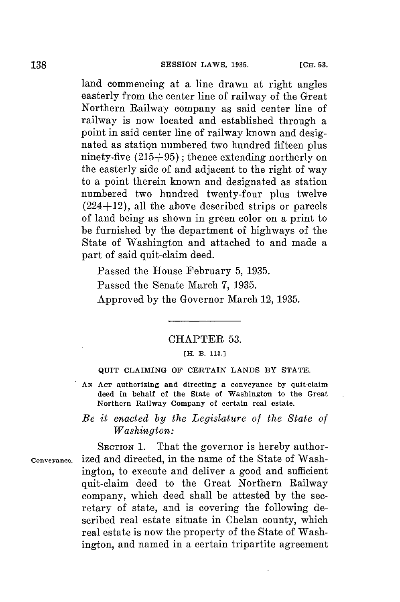land commencing at a line drawn at right angles easterly from the center line of railway of the Great Northern Railway company as said center line of railway is now located and established through a point in said center line of railway known and designated as station numbered two hundred fifteen plus ninety-five **(215+95);** thence extending northerly on the easterly side of and adjacent to the right of way to a point therein known and designated as station numbered two hundred twenty-four plus twelve  $(224+12)$ , all the above described strips or parcels of land being as shown in green color on a print to be furnished **by** the department of highways of the State of Washington and attached to and made a part of said quit-claim deed.

Passed the House February **5, 1935.**

Passed the Senate March **7, 1935.**

Approved **by** the Governor March 12, **1935.**

## CHAPTER **53.**

#### **[H. B. 113.1**

### **QUIT CLAIMING OF CERTAIN LANDS BY STATE.**

*AN* **AcT authorizing and directing a conveyance by quit-claim deed in behalf of the State of Washington to the Great Northern Railway Company of certain real estate.**

# *Be it enacted by the Legislature of the State of Washington:*

**SECTION** 1. That the governor is hereby author**conveyance.** ized and directed, in the name of the State of Washington, to execute and deliver a good and sufficient quit-claim deed to the Great Northern Railway company, which deed shall be attested **by** the secretary of state, and is covering the following described real estate situate in Chelan county, which real estate is now the property of the State of Washington, and named in a certain tripartite agreement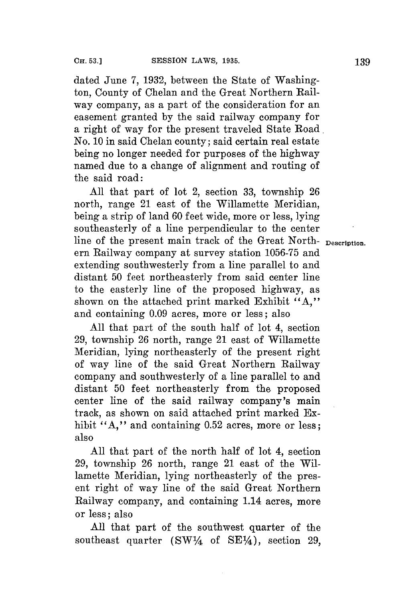dated June **7, 1932,** between the State of Washington, County of Chelan and the Great Northern Railway company, as a part of the consideration for an easement granted **by** the said railway company for a right of way for the present traveled State Road. No. **10** in said Chelan county; said certain real estate being no longer needed for purposes of the highway named due to a change of alignment and routing of the said road:

**All** that part of lot 2, section **33,** township **26** north, range 21 east of the Willamette Meridian, being a strip of land **60** feet wide, more or less, lying southeasterly of a line perpendicular to the center line of the present main track of the Great North- **Description.** ern Railway company at survey station **1056-75** and extending southwesterly from a line parallel to and distant **50** feet northeasterly from said center line to the easterly line of the proposed highway, as shown on the attached print marked Exhibit "A," and containing **0.09** acres, more or less; also

**All** that part of the south half of lot 4, section **29,** township **26** north, range 21 east of Willamette Meridian, lying northeasterly of the present right of way line of the said Great Northern Railway company and southwesterly of a line parallel to and distant **50** feet northeasterly from the proposed center line of the said railway company's main track, as shown on said attached print marked Exhibit "A," and containing 0.52 acres, more or less; also

**All** that part of the north half of lot 4, section **29,** township **26** north, range 21 east of the Willamette Meridian, lying northeasterly of the present right of way line of the said Great Northern Railway company, and containing 1.14 acres, more or less; also

**All** that part of the southwest quarter of the southeast quarter  $(SW<sup>1</sup>/<sub>4</sub>$  of  $SE<sup>1</sup>/<sub>4</sub>$ ), section 29,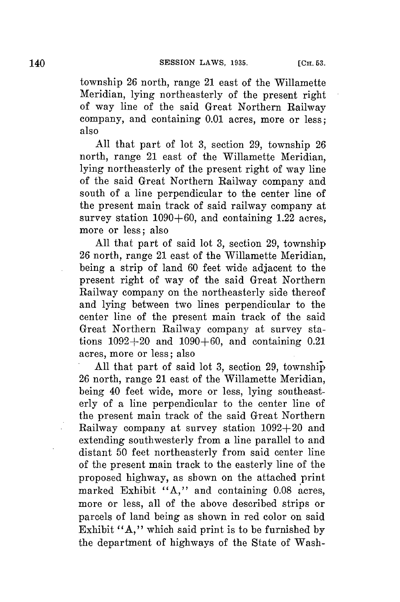township **26** north, range 21 east of the Willamette Meridian, lying northeasterly of the present right of way line of the said Great Northern Railway company, and containing **0.01** acres, more or less; also

**All** that part of lot **3,** section **29,** township **26** north, range 21 east of the Willamette Meridian, lying northeasterly of the present right of way line of the said Great Northern Railway company and south of a line perpendicular to the center line of the present main track of said railway company at survey station **1090+60,** and containing 1.22 acres, more or less; also

**All** that part of said lot **3,** section **29,** township **<sup>26</sup>**north, range 21 east of the Willamette Meridian, being a strip of land **60** feet wide adjacent to the present right of way of the said Great Northern Railway company on the northeasterly side thereof and lying between two lines perpendicular to the center line of the present main track of the said Great Northern Railway company at survey stations  $1092 + 20$  and  $1090 + 60$ , and containing 0.21 acres, more or less; also

**All** that part of said lot **3,** section **29,** township **26** north, range 21 east of the Willamette Meridian, being 40 feet wide, more or less, lying southeasterly of a line perpendicular to the center line of the present main track of the said Great Northern Railway company at survey station **1092+20** and extending southwesterly from a line parallel to and distant **50** feet northeasterly from said center line of the present main track to the easterly line of the proposed highway, as shown on the attached print marked Exhibit **"A,"** and containing **0.08** acres, more or less, all of the above described strips or parcels of land being as shown in red color on said Exhibit **"A,"** which said print is to be furnished **by** the department of highways of the State of Wash-